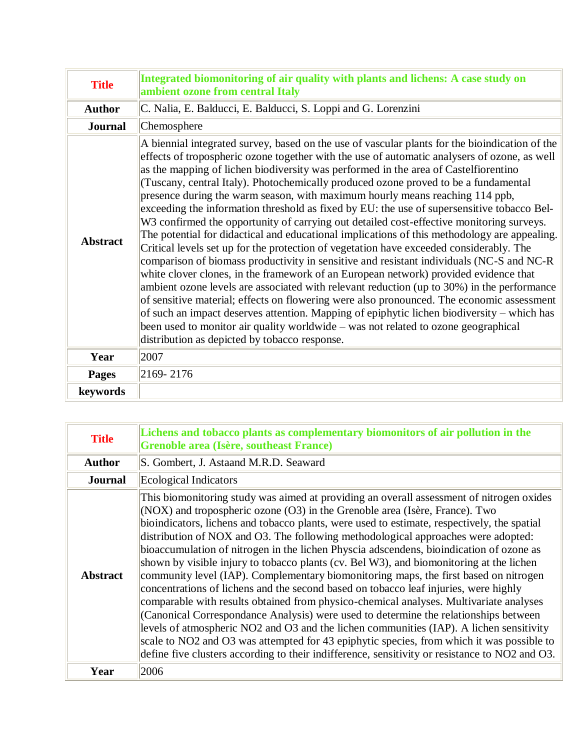| <b>Title</b>    | Integrated biomonitoring of air quality with plants and lichens: A case study on<br>ambient ozone from central Italy                                                                                                                                                                                                                                                                                                                                                                                                                                                                                                                                                                                                                                                                                                                                                                                                                                                                                                                                                                                                                                                                                                                                                                                                                                                                                                                                                  |
|-----------------|-----------------------------------------------------------------------------------------------------------------------------------------------------------------------------------------------------------------------------------------------------------------------------------------------------------------------------------------------------------------------------------------------------------------------------------------------------------------------------------------------------------------------------------------------------------------------------------------------------------------------------------------------------------------------------------------------------------------------------------------------------------------------------------------------------------------------------------------------------------------------------------------------------------------------------------------------------------------------------------------------------------------------------------------------------------------------------------------------------------------------------------------------------------------------------------------------------------------------------------------------------------------------------------------------------------------------------------------------------------------------------------------------------------------------------------------------------------------------|
| <b>Author</b>   | C. Nalia, E. Balducci, E. Balducci, S. Loppi and G. Lorenzini                                                                                                                                                                                                                                                                                                                                                                                                                                                                                                                                                                                                                                                                                                                                                                                                                                                                                                                                                                                                                                                                                                                                                                                                                                                                                                                                                                                                         |
| <b>Journal</b>  | Chemosphere                                                                                                                                                                                                                                                                                                                                                                                                                                                                                                                                                                                                                                                                                                                                                                                                                                                                                                                                                                                                                                                                                                                                                                                                                                                                                                                                                                                                                                                           |
| <b>Abstract</b> | A biennial integrated survey, based on the use of vascular plants for the bioindication of the<br>effects of tropospheric ozone together with the use of automatic analysers of ozone, as well<br>as the mapping of lichen biodiversity was performed in the area of Castelfiorentino<br>(Tuscany, central Italy). Photochemically produced ozone proved to be a fundamental<br>presence during the warm season, with maximum hourly means reaching 114 ppb,<br>exceeding the information threshold as fixed by EU: the use of supersensitive tobacco Bel-<br>W3 confirmed the opportunity of carrying out detailed cost-effective monitoring surveys.<br>The potential for didactical and educational implications of this methodology are appealing.<br>Critical levels set up for the protection of vegetation have exceeded considerably. The<br>comparison of biomass productivity in sensitive and resistant individuals (NC-S and NC-R<br>white clover clones, in the framework of an European network) provided evidence that<br>ambient ozone levels are associated with relevant reduction (up to 30%) in the performance<br>of sensitive material; effects on flowering were also pronounced. The economic assessment<br>of such an impact deserves attention. Mapping of epiphytic lichen biodiversity – which has<br>been used to monitor air quality worldwide - was not related to ozone geographical<br>distribution as depicted by tobacco response. |
| Year            | 2007                                                                                                                                                                                                                                                                                                                                                                                                                                                                                                                                                                                                                                                                                                                                                                                                                                                                                                                                                                                                                                                                                                                                                                                                                                                                                                                                                                                                                                                                  |
| <b>Pages</b>    | 2169-2176                                                                                                                                                                                                                                                                                                                                                                                                                                                                                                                                                                                                                                                                                                                                                                                                                                                                                                                                                                                                                                                                                                                                                                                                                                                                                                                                                                                                                                                             |
| keywords        |                                                                                                                                                                                                                                                                                                                                                                                                                                                                                                                                                                                                                                                                                                                                                                                                                                                                                                                                                                                                                                                                                                                                                                                                                                                                                                                                                                                                                                                                       |

| <b>Title</b>    | Lichens and tobacco plants as complementary biomonitors of air pollution in the<br>Grenoble area (Isère, southeast France)                                                                                                                                                                                                                                                                                                                                                                                                                                                                                                                                                                                                                                                                                                                                                                                                                                                                                                                                                                                                                                                                                     |
|-----------------|----------------------------------------------------------------------------------------------------------------------------------------------------------------------------------------------------------------------------------------------------------------------------------------------------------------------------------------------------------------------------------------------------------------------------------------------------------------------------------------------------------------------------------------------------------------------------------------------------------------------------------------------------------------------------------------------------------------------------------------------------------------------------------------------------------------------------------------------------------------------------------------------------------------------------------------------------------------------------------------------------------------------------------------------------------------------------------------------------------------------------------------------------------------------------------------------------------------|
| <b>Author</b>   | S. Gombert, J. Astaand M.R.D. Seaward                                                                                                                                                                                                                                                                                                                                                                                                                                                                                                                                                                                                                                                                                                                                                                                                                                                                                                                                                                                                                                                                                                                                                                          |
| <b>Journal</b>  | Ecological Indicators                                                                                                                                                                                                                                                                                                                                                                                                                                                                                                                                                                                                                                                                                                                                                                                                                                                                                                                                                                                                                                                                                                                                                                                          |
| <b>Abstract</b> | This biomonitoring study was aimed at providing an overall assessment of nitrogen oxides<br>(NOX) and tropospheric ozone $(O3)$ in the Grenoble area (Isère, France). Two<br>bioindicators, lichens and tobacco plants, were used to estimate, respectively, the spatial<br>distribution of NOX and O3. The following methodological approaches were adopted:<br>bioaccumulation of nitrogen in the lichen Physcia adscendens, bioindication of ozone as<br>shown by visible injury to tobacco plants (cv. Bel W3), and biomonitoring at the lichen<br>community level (IAP). Complementary biomonitoring maps, the first based on nitrogen<br>concentrations of lichens and the second based on tobacco leaf injuries, were highly<br>comparable with results obtained from physico-chemical analyses. Multivariate analyses<br>Canonical Correspondance Analysis) were used to determine the relationships between<br>levels of atmospheric NO2 and O3 and the lichen communities (IAP). A lichen sensitivity<br>scale to NO2 and O3 was attempted for 43 epiphytic species, from which it was possible to<br>define five clusters according to their indifference, sensitivity or resistance to NO2 and O3. |
| Year            | 2006                                                                                                                                                                                                                                                                                                                                                                                                                                                                                                                                                                                                                                                                                                                                                                                                                                                                                                                                                                                                                                                                                                                                                                                                           |